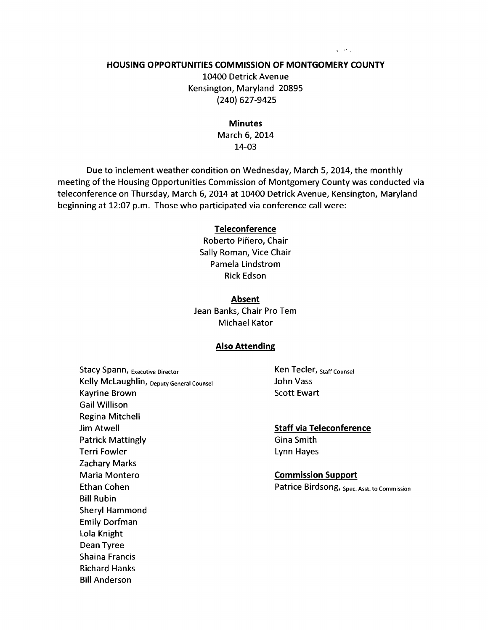#### HOUSING OPPORTUNITIES COMMISSION OF MONTGOMERY COUNTY

10400 Detrick Avenue Kensington, Maryland 20895 (240) 627-9425

#### Minutes

March 6, 2014 14-03

Due to inclement weather condition on Wednesday, March 5, 2014, the monthly meeting of the Housing Opportunities Commission of Montgomery County was conducted via teleconference on Thursday, March 6, 2014 at 10400 Detrick Avenue, Kensington, Maryland beginning at 12:07 p.m. Those who participated via conference call were:

#### Teleconference

Roberto Piñero, Chair Sally Roman, Vice Chair Pamela Lindstrom Rick Edson

#### Absent

Jean Banks, Chair Pro Tem Michael Kator

#### Also Attending

Stacy Spann, Executive Director **Ken Tecler**, Staff Counsel Kelly McLaughlin, Deputy General Counsel **State State State State John Vass** Kayrine Brown Scott Ewart Gail Willison Regina Mitchell **Jim Atwell** Staff via Teleconference Patrick Mattingly **Communist Communist Communist Communist Communist Communist Communist Communist Communist Communist Communist Communist Communist Communist Communist Communist Communist Communist Communist Communist Com** Terri Fowler **Lynn** Hayes Zachary Marks Maria Montero **Commission Support** Ethan Cohen **Patrice Birdsong**, Spec. Asst. to Commission Bill Rubin Sheryl Hammond Emily Dorfman Lola Knight Dean Tyree Shaina Francis Richard Hanks Bill Anderson

 $\mathbf{q} = \mathbf{q}^T \mathbf{q}$  .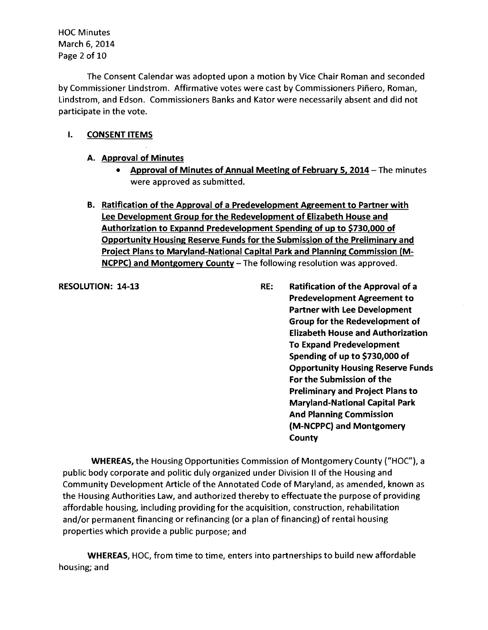HOC Minutes March 6, 2014 Page 2 of 10

The Consent Calendar was adopted upon a motion by Vice Chair Roman and seconded by Commissioner Lindstrom. Affirmative votes were cast by Commissioners Pinero, Roman, Lindstrom, and Edson. Commissioners Banks and Kator were necessarily absent and did not participate in the vote.

## I. CONSENT ITEMS

- A. Approval of Minutes
	- Approval of Minutes of Annual Meeting of February 5, 2014 The minutes were approved as submitted.
- B. Ratification of the Approval of a Predevelopment Agreement to Partner with Lee Development Group for the Redevelopment of Elizabeth House and Authorization to Expannd Predevelopment Spending of up to \$730,000 of Opportunity Housing Reserve Funds for the Submission of the Preliminary and Project Plans to Maryland-National Capital Park and Planning Commission (M-NCPPC) and Montgomery County - The following resolution was approved.

RESOLUTION: 14-13 RE: Ratification of the Approval of a Predevelopment Agreement to Partner with Lee Development Group for the Redevelopment of Elizabeth House and Authorization To Expand Predevelopment Spending of up to \$730,000 of Opportunity Housing Reserve Funds For the Submission of the Preliminary and Project Plans to Maryland-National Capital Park And Planning Commission (M-NCPPC) and Montgomery **County** 

WHEREAS, the Housing Opportunities Commission of Montgomery County ("HOC"), a public body corporate and politic duly organized under Division II of the Housing and Community Development Article of the Annotated Code of Maryland, as amended, known as the Housing Authorities Law, and authorized thereby to effectuate the purpose of providing affordable housing, including providing for the acquisition, construction, rehabilitation and/or permanent financing or refinancing (or a plan of financing) of rental housing properties which provide a public purpose; and

WHEREAS, HOC, from time to time, enters into partnerships to build new affordable housing; and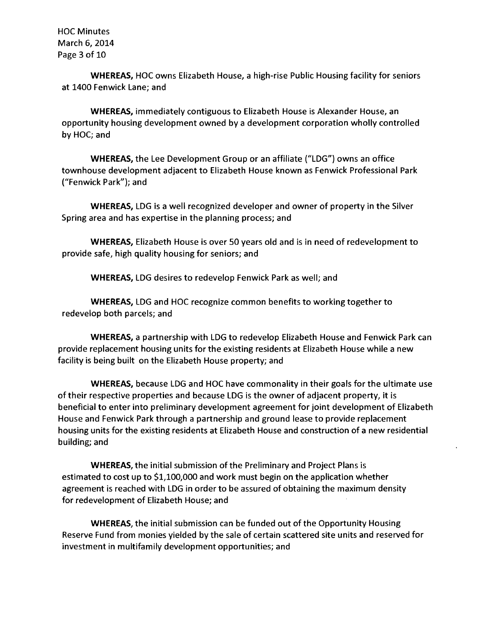HOC Minutes March 6, 2014 Page 3 of 10

**WHEREAS,** HOC owns Elizabeth House, a high-rise Public Housing facility for seniors at 1400 Fenwick Lane; and

**WHEREAS,** immediately contiguous to Elizabeth House is Alexander House, an opportunity housing development owned by a development corporation wholly controlled by HOC; and

**WHEREAS,** the Lee Development Group or an affiliate ("LDG") owns an office townhouse development adjacent to Elizabeth House known as Fenwick Professional Park ("Fenwick Park"); and

**WHEREAS,** LDG is a well recognized developer and owner of property in the Silver Spring area and has expertise in the planning process; and

**WHEREAS,** Elizabeth House is over 50 years old and is in need of redevelopment to provide safe, high quality housing for seniors; and

**WHEREAS,** LDG desires to redevelop Fenwick Park as well; and

**WHEREAS,** LDG and HOC recognize common benefits to working together to redevelop both parcels; and

**WHEREAS,** a partnership with LDG to redevelop Elizabeth House and Fenwick Park can provide replacement housing units for the existing residents at Elizabeth House while a new facility is being built on the Elizabeth House property; and

**WHEREAS,** because LDG and HOC have commonality in their goals for the ultimate use of their respective properties and because LDG is the owner of adjacent property, it is beneficial to enter into preliminary development agreement for joint development of Elizabeth House and Fenwick Park through a partnership and ground lease to provide replacement housing units for the existing residents at Elizabeth House and construction of a new residential building; and

**WHEREAS,** the initial submission of the Preliminary and Project Plans is estimated to cost up to \$1,100,000 and work must begin on the application whether agreement is reached with LDG in order to be assured of obtaining the maximum density for redevelopment of Elizabeth House; and

**WHEREAS,** the initial submission can be funded out of the Opportunity Housing Reserve Fund from monies yielded by the sale of certain scattered site units and reserved for investment in multifamily development opportunities; and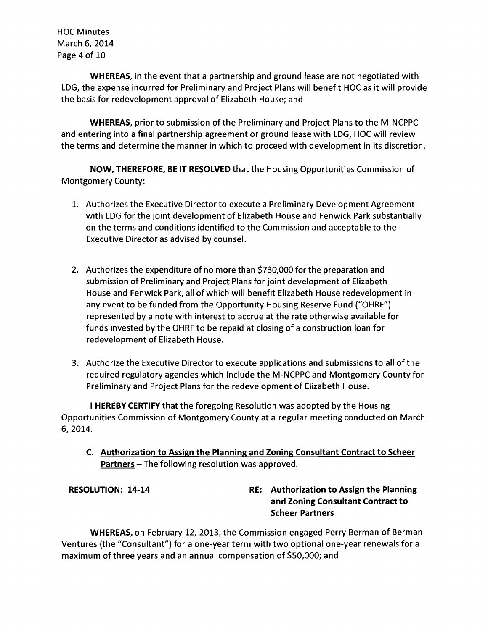HOC Minutes March 6, 2014 Page 4 of 10

WHEREAS, in the event that a partnership and ground lease are not negotiated with LDG, the expense incurred for Preliminary and Project Plans will benefit HOC as it will provide the basis for redevelopment approval of Elizabeth House; and

WHEREAS, prior to submission of the Preliminary and Project Plans to the M-NCPPC and entering into a final partnership agreement or ground lease with LDG, HOC will review the terms and determine the manner in which to proceed with development in its discretion.

NOW, THEREFORE, BE IT RESOLVED that the Housing Opportunities Commission of Montgomery County:

- 1. Authorizes the Executive Director to execute a Preliminary Development Agreement with LDG for the joint development of Elizabeth House and Fenwick Park substantially on the terms and conditions identified to the Commission and acceptable to the Executive Director as advised by counsel.
- 2. Authorizes the expenditure of no more than \$730,000 for the preparation and submission of Preliminary and Project Plans for joint development of Elizabeth House and Fenwick Park, all of which will benefit Elizabeth House redevelopment in any event to be funded from the Opportunity Housing Reserve Fund ("OHRF") represented by a note with interest to accrue at the rate otherwise available for funds invested by the OHRF to be repaid at closing of a construction loan for redevelopment of Elizabeth House.
- 3. Authorize the Executive Director to execute applications and submissions to all of the required regulatory agencies which include the M-NCPPC and Montgomery County for Preliminary and Project Plans for the redevelopment of Elizabeth House.

I HEREBY CERTIFY that the foregoing Resolution was adopted by the Housing Opportunities Commission of Montgomery County at a regular meeting conducted on March 6,2014.

C. Authorization to Assign the Planning and Zoning Consultant Contract to Scheer Partners - The following resolution was approved.

RESOLUTION: 14-14 RE: Authorization to Assign the Planning and Zoning Consultant Contract to Scheer Partners

WHEREAS, on February 12, 2013, the Commission engaged Perry Berman of Berman Ventures (the "Consultant") for a one-year term with two optional one-year renewals for a maximum of three years and an annual compensation of \$50,000; and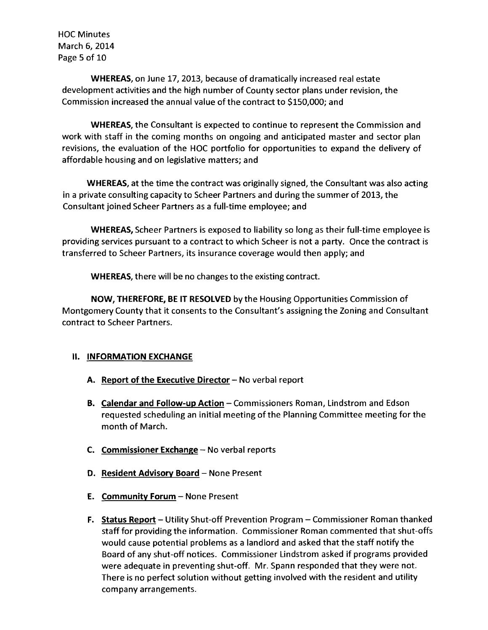HOC Minutes March 6, 2014 Page 5 of 10

WHEREAS, on June 17,2013, because of dramatically increased real estate development activities and the high number of County sector plans under revision, the Commission increased the annual value of the contract to \$150,000; and

WHEREAS, the Consultant is expected to continue to represent the Commission and work with staff in the coming months on ongoing and anticipated master and sector plan revisions, the evaluation of the HOC portfolio for opportunities to expand the delivery of affordable housing and on legislative matters; and

WHEREAS, at the time the contract was originally signed, the Consultant was also acting in a private consulting capacity to Scheer Partners and during the summer of 2013, the Consultant joined Scheer Partners as a full-time employee; and

WHEREAS, Scheer Partners is exposed to liability so long as their full-time employee is providing services pursuant to a contract to which Scheer is not a party. Once the contract is transferred to Scheer Partners, its insurance coverage would then apply; and

WHEREAS, there will be no changes to the existing contract.

NOW, THEREFORE, BE IT RESOLVED by the Housing Opportunities Commission of Montgomery County that it consents to the Consultant's assigning the Zoning and Consultant contract to Scheer Partners.

# **II. INFORMATION EXCHANGE**

- A. Report of the Executive Director  $-$  No verbal report
- B. Calendar and Follow-up Action Commissioners Roman, Lindstrom and Edson requested scheduling an initial meeting of the Planning Committee meeting for the month of March.
- **C.** Commissioner Exchange  $-$  No verbal reports
- D. Resident Advisory Board None Present
- E. Community Forum None Present
- F. Status Report Utility Shut-off Prevention Program Commissioner Roman thanked staff for providing the information. Commissioner Roman commented that shut-offs would cause potential problems as a landlord and asked that the staff notify the Board of any shut-off notices. Commissioner Lindstrom asked if programs provided were adequate in preventing shut-off. Mr. Spann responded that they were not. There is no perfect solution without getting involved with the resident and utility company arrangements.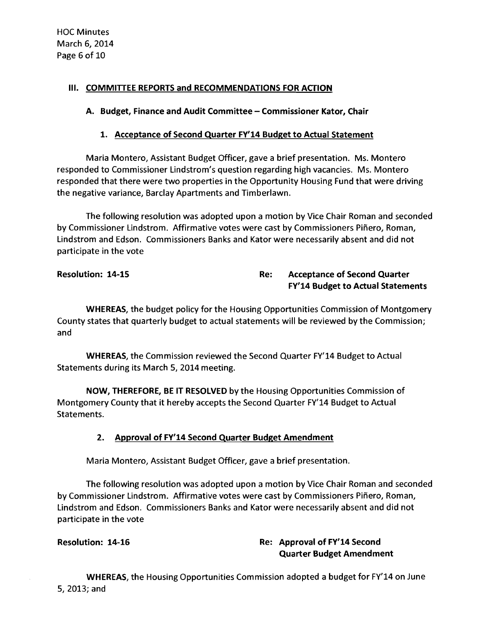## III. COMMITTEE REPORTS and RECOMMENDATIONS FOR ACTION

## A. Budget, Finance and Audit Committee - Commissioner Kator, Chair

## 1. Acceptance of Second Quarter FY'14 Budget to Actual Statement

Maria Montero, Assistant Budget Officer, gave a brief presentation. Ms. Montero responded to Commissioner Lindstrom's question regarding high vacancies. Ms. Montero responded that there were two properties in the Opportunity Housing Fund that were driving the negative variance, Barclay Apartments and Timberlawn.

The following resolution was adopted upon a motion by Vice Chair Roman and seconded by Commissioner Lindstrom. Affirmative votes were cast by Commissioners Piñero, Roman, Lindstrom and Edson. Commissioners Banks and Kator were necessarily absent and did not participate in the vote

# Resolution: 14-15 Resolution: 14-15 FY'14 Budget to Actual Statements

WHEREAS, the budget policy for the Housing Opportunities Commission of Montgomery County states that quarterly budget to actual statements will be reviewed by the Commission; and

WHEREAS, the Commission reviewed the Second Quarter FY'14 Budget to Actual Statements during its March 5, 2014 meeting.

NOW, THEREFORE, BE IT RESOLVED by the Housing Opportunities Commission of Montgomery County that it hereby accepts the Second Quarter FY'14 Budget to Actual Statements.

# 2. Approval of FY'14 Second Quarter Budget Amendment

Maria Montero, Assistant Budget Officer, gave a brief presentation.

The following resolution was adopted upon a motion by Vice Chair Roman and seconded by Commissioner Lindstrom. Affirmative votes were cast by Commissioners Piñero, Roman, Lindstrom and Edson. Commissioners Banks and Kator were necessarily absent and did not participate in the vote

# Resolution: 14-16 **Resolution: 14-16** Re: Approval of FY'14 Second Quarter Budget Amendment

WHEREAS, the Housing Opportunities Commission adopted a budget for FY'14 on June 5,2013;and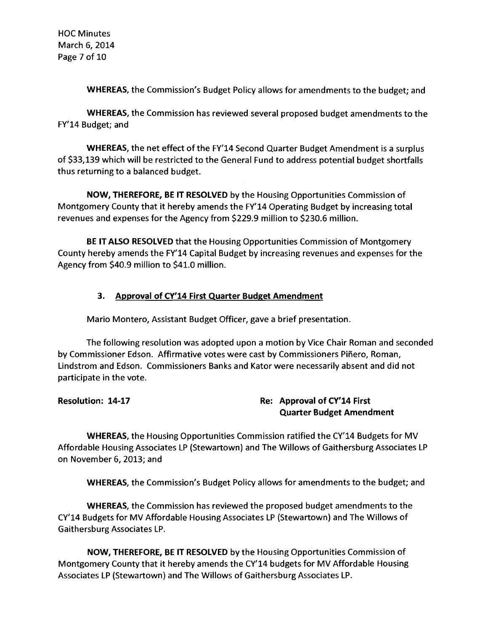HOC Minutes March 6, 2014 Page 7 of 10

WHEREAS, the Commission's Budget Policy allows for amendments to the budget; and

WHEREAS, the Commission has reviewed several proposed budget amendments to the FY'14 Budget; and

WHEREAS, the net effect of the FY'14 Second Quarter Budget Amendment is a surplus of \$33,139 which will be restricted to the General Fund to address potential budget shortfalls thus returning to a balanced budget.

NOW, THEREFORE, BE IT RESOLVED by the Housing Opportunities Commission of Montgomery County that it hereby amends the FY'14 Operating Budget by increasing total revenues and expenses for the Agency from \$229.9 million to \$230.6 million.

BE IT ALSO RESOLVED that the Housing Opportunities Commission of Montgomery County hereby amends the FY'14 Capital Budget by increasing revenues and expenses for the Agency from \$40.9 million to \$41.0 million.

# 3. Approval of CY'14 First Quarter Budget Amendment

Mario Montero, Assistant Budget Officer, gave a brief presentation.

The following resolution was adopted upon a motion by Vice Chair Roman and seconded by Commissioner Edson. Affirmative votes were cast by Commissioners Pinero, Roman, Lindstrom and Edson. Commissioners Banks and Kator were necessarily absent and did not participate in the vote.

# Resolution: 14-17 Re: Approval of CY'14 First Quarter Budget Amendment

WHEREAS, the Housing Opportunities Commission ratified the CY'14 Budgets for MV Affordable Housing Associates LP (Stewartown) and The Willows of Gaithersburg Associates LP on November 6,2013; and

WHEREAS, the Commission's Budget Policy allows for amendments to the budget; and

WHEREAS, the Commission has reviewed the proposed budget amendments to the CY'14 Budgets for MV Affordable Housing Associates LP (Stewartown) and The Willows of Gaithersburg Associates LP.

NOW, THEREFORE, BE IT RESOLVED by the Housing Opportunities Commission of Montgomery County that it hereby amends the CY'14 budgets for MV Affordable Housing Associates LP (Stewartown) and The Willows of Gaithersburg Associates LP.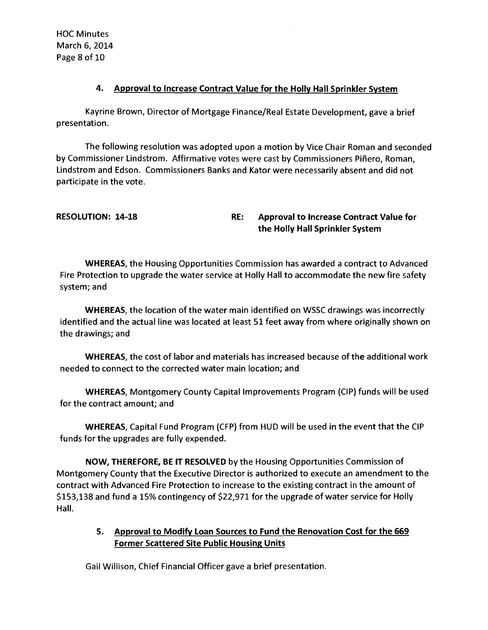HOC Minutes March 6, 2014 Page 8 of 10

## 4. Approval to Increase Contract Value for the Holly Hall Sprinkler System

Kayrine Brown, Director of Mortgage Finance/Real Estate Development, gave a brief presentation.

The following resolution was adopted upon a motion by Vice Chair Roman and seconded by Commissioner Lindstrom. Affirmative votes were cast by Commissioners Piñero, Roman, Lindstrom and Edson. Commissioners Banks and Kator were necessarily absent and did not participate in the vote.

RESOLUTION: 14-18 RE: Approval to Increase Contract Value for the Holly Hall Sprinkler System

WHEREAS, the Housing Opportunities Commission has awarded a contract to Advanced Fire Protection to upgrade the water service at Holly Hall to accommodate the new fire safety system; and

WHEREAS, the location of the water main identified on WSSC drawings was incorrectly identified and the actual line was located at least 51 feet away from where originally shown on the drawings; and

WHEREAS, the cost of labor and materials has increased because of the additional work needed to connect to the corrected water main location; and

WHEREAS, Montgomery County Capital Improvements Program (CIP) funds will be used for the contract amount; and

WHEREAS, Capital Fund Program (CFP) from HUD will be used in the event that the C1P funds for the upgrades are fully expended.

NOW, THEREFORE, BE IT RESOLVED by the Housing Opportunities Commission of Montgomery County that the Executive Director is authorized to execute an amendment to the contract with Advanced Fire Protection to increase to the existing contract in the amount of \$153,138 and fund a 15% contingency of \$22,971 for the upgrade of water service for Holly Hall.

# 5. Approval to Modify Loan Sources to Fund the Renovation Cost for the 669 Former Scattered Site Public Housing Units

Gail Willison, Chief Financial Officer gave a brief presentation.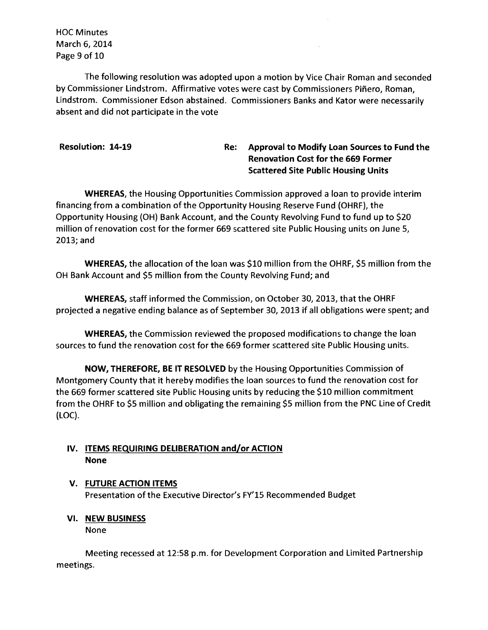HOC Minutes March 6, 2014 Page 9 of 10

The following resolution was adopted upon a motion by Vice Chair Roman and seconded by Commissioner Lindstrom. Affirmative votes were cast by Commissioners Piñero, Roman, Lindstrom. Commissioner Edson abstained. Commissioners Banks and Kator were necessarily absent and did not participate in the vote

# Resolution: 14-19 Re: Approval to Modify Loan Sources to Fund the Renovation Cost for the 669 Former Scattered Site Public Housing Units

WHEREAS, the Housing Opportunities Commission approved a loan to provide interim financing from a combination of the Opportunity Housing Reserve Fund (OHRF), the Opportunity Housing (OH) Bank Account, and the County Revolving Fund to fund up to \$20 million of renovation cost for the former 669 scattered site Public Housing units on June 5, 2013; and

WHEREAS, the allocation of the loan was \$10 million from the OHRF, \$5 million from the OH Bank Account and \$5 million from the County Revolving Fund; and

WHEREAS, staff informed the Commission, on October 30,2013, that the OHRF projected a negative ending balance as of September 30, 2013 if all obligations were spent; and

WHEREAS, the Commission reviewed the proposed modifications to change the loan sources to fund the renovation cost for the 669 former scattered site Public Housing units.

NOW, THEREFORE, BE IT RESOLVED by the Housing Opportunities Commission of Montgomery County that it hereby modifies the loan sources to fund the renovation cost for the 669 former scattered site Public Housing units by reducing the \$10 million commitment from the OHRF to \$5 million and obligating the remaining \$5 million from the PNC Line of Credit (LOC).

# IV. ITEMS REQUIRING DELIBERATION and/or ACTION None

### V. FUTURE ACTION ITEMS Presentation of the Executive Director's FY'15 Recommended Budget

**VI. NEW BUSINESS** 

None

Meeting recessed at 12:58 p.m. for Development Corporation and Limited Partnership meetings.